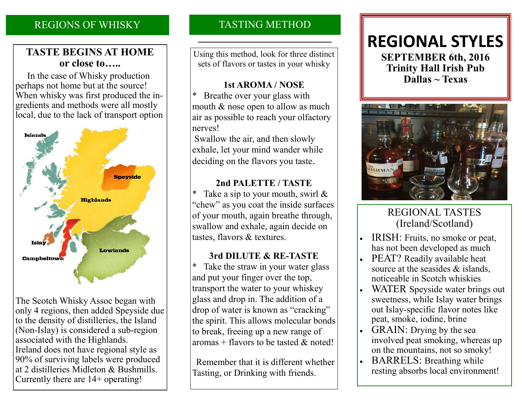### REGIONS OF WHISKY

### **TASTE BEGINS AT HOME or close to…..**

 In the case of Whisky production perhaps not home but at the source! When whisky was first produced the ingredients and methods were all mostly local, due to the lack of transport option



The Scotch Whisky Assoc began with only 4 regions, then added Speyside due to the density of distilleries, the Island (Non-Islay) is considered a sub-region associated with the Highlands. Ireland does not have regional style as 90% of surviving labels were produced at 2 distilleries Midleton & Bushmills. Currently there are 14+ operating!

## TASTING METHOD

Using this method, look for three distinct sets of flavors or tastes in your whisky

### **1st AROMA / NOSE**

Breathe over your glass with mouth & nose open to allow as much air as possible to reach your olfactory nerves!

Swallow the air, and then slowly exhale, let your mind wander while deciding on the flavors you taste.

### **2nd PALETTE / TASTE**

Take a sip to your mouth, swirl  $\&$ "chew" as you coat the inside surfaces of your mouth, again breathe through, swallow and exhale, again decide on tastes, flavors & textures.

### **3rd DILUTE & RE-TASTE**

\* Take the straw in your water glass and put your finger over the top, transport the water to your whiskey glass and drop in. The addition of a drop of water is known as "cracking" the spirit. This allows molecular bonds to break, freeing up a new range of aromas + flavors to be tasted  $\&$  noted!

 Remember that it is different whether Tasting, or Drinking with friends.

# **REGIONAL STYLES SEPTEMBER 6th, 2016 Trinity Hall Irish Pub Dallas ~ Texas**



## REGIONAL TASTES (Ireland/Scotland)

- IRISH: Fruits, no smoke or peat, has not been developed as much
- PEAT? Readily available heat source at the seasides & islands, noticeable in Scotch whiskies
- WATER Speyside water brings out sweetness, while Islay water brings out Islay-specific flavor notes like peat, smoke, iodine, brine
- GRAIN: Drying by the sea involved peat smoking, whereas up on the mountains, not so smoky!
- BARRELS: Breathing while resting absorbs local environment!